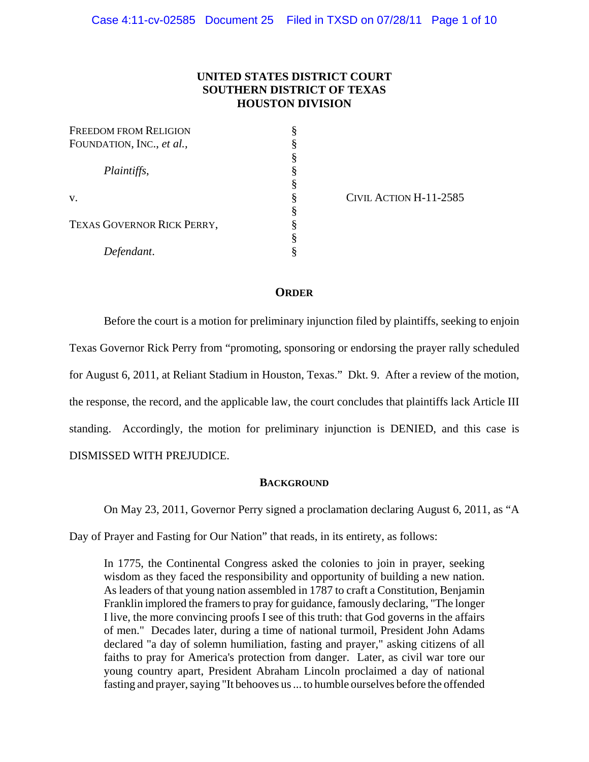# **UNITED STATES DISTRICT COURT SOUTHERN DISTRICT OF TEXAS HOUSTON DIVISION**

| <b>FREEDOM FROM RELIGION</b> | § |
|------------------------------|---|
| FOUNDATION, INC., et al.,    | § |
|                              | § |
| Plaintiffs,<br>V.            | § |
|                              | § |
|                              | § |
|                              | § |
| TEXAS GOVERNOR RICK PERRY,   | § |
|                              | § |
| Defendant.                   | § |

CIVIL ACTION H-11-2585

# **ORDER**

Before the court is a motion for preliminary injunction filed by plaintiffs, seeking to enjoin Texas Governor Rick Perry from "promoting, sponsoring or endorsing the prayer rally scheduled for August 6, 2011, at Reliant Stadium in Houston, Texas." Dkt. 9. After a review of the motion, the response, the record, and the applicable law, the court concludes that plaintiffs lack Article III standing. Accordingly, the motion for preliminary injunction is DENIED, and this case is DISMISSED WITH PREJUDICE.

## **BACKGROUND**

On May 23, 2011, Governor Perry signed a proclamation declaring August 6, 2011, as "A

Day of Prayer and Fasting for Our Nation" that reads, in its entirety, as follows:

In 1775, the Continental Congress asked the colonies to join in prayer, seeking wisdom as they faced the responsibility and opportunity of building a new nation. As leaders of that young nation assembled in 1787 to craft a Constitution, Benjamin Franklin implored the framers to pray for guidance, famously declaring, "The longer I live, the more convincing proofs I see of this truth: that God governs in the affairs of men." Decades later, during a time of national turmoil, President John Adams declared "a day of solemn humiliation, fasting and prayer," asking citizens of all faiths to pray for America's protection from danger. Later, as civil war tore our young country apart, President Abraham Lincoln proclaimed a day of national fasting and prayer, saying "It behooves us ... to humble ourselves before the offended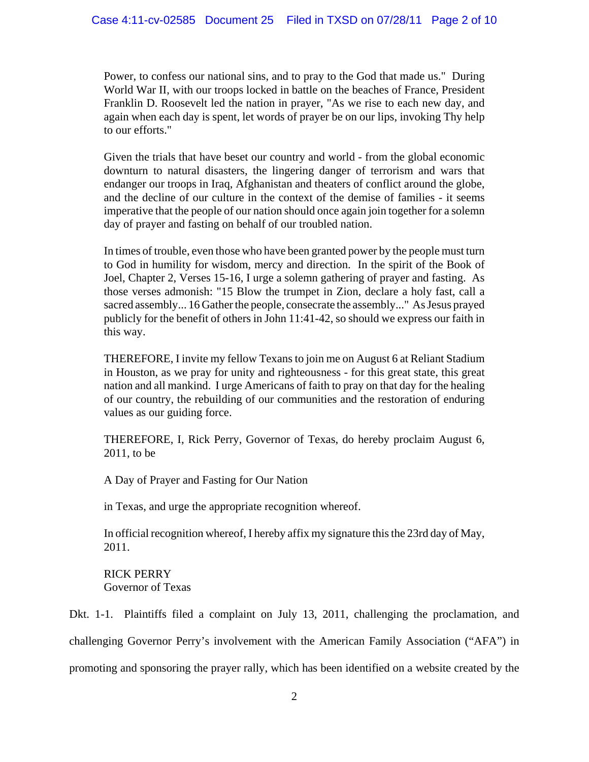Power, to confess our national sins, and to pray to the God that made us." During World War II, with our troops locked in battle on the beaches of France, President Franklin D. Roosevelt led the nation in prayer, "As we rise to each new day, and again when each day is spent, let words of prayer be on our lips, invoking Thy help to our efforts."

Given the trials that have beset our country and world - from the global economic downturn to natural disasters, the lingering danger of terrorism and wars that endanger our troops in Iraq, Afghanistan and theaters of conflict around the globe, and the decline of our culture in the context of the demise of families - it seems imperative that the people of our nation should once again join together for a solemn day of prayer and fasting on behalf of our troubled nation.

In times of trouble, even those who have been granted power by the people must turn to God in humility for wisdom, mercy and direction. In the spirit of the Book of Joel, Chapter 2, Verses 15-16, I urge a solemn gathering of prayer and fasting. As those verses admonish: "15 Blow the trumpet in Zion, declare a holy fast, call a sacred assembly... 16 Gather the people, consecrate the assembly..." As Jesus prayed publicly for the benefit of others in John 11:41-42, so should we express our faith in this way.

THEREFORE, I invite my fellow Texans to join me on August 6 at Reliant Stadium in Houston, as we pray for unity and righteousness - for this great state, this great nation and all mankind. I urge Americans of faith to pray on that day for the healing of our country, the rebuilding of our communities and the restoration of enduring values as our guiding force.

THEREFORE, I, Rick Perry, Governor of Texas, do hereby proclaim August 6, 2011, to be

A Day of Prayer and Fasting for Our Nation

in Texas, and urge the appropriate recognition whereof.

In official recognition whereof, I hereby affix my signature this the 23rd day of May, 2011.

RICK PERRY Governor of Texas

Dkt. 1-1. Plaintiffs filed a complaint on July 13, 2011, challenging the proclamation, and challenging Governor Perry's involvement with the American Family Association ("AFA") in promoting and sponsoring the prayer rally, which has been identified on a website created by the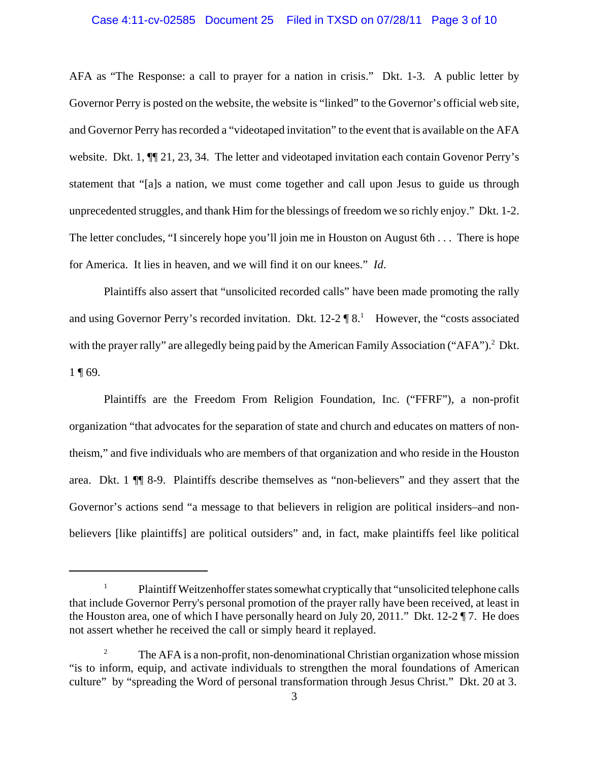### Case 4:11-cv-02585 Document 25 Filed in TXSD on 07/28/11 Page 3 of 10

AFA as "The Response: a call to prayer for a nation in crisis." Dkt. 1-3. A public letter by Governor Perry is posted on the website, the website is "linked" to the Governor's official web site, and Governor Perry has recorded a "videotaped invitation" to the event that is available on the AFA website. Dkt. 1, ¶¶ 21, 23, 34. The letter and videotaped invitation each contain Govenor Perry's statement that "[a]s a nation, we must come together and call upon Jesus to guide us through unprecedented struggles, and thank Him for the blessings of freedom we so richly enjoy." Dkt. 1-2. The letter concludes, "I sincerely hope you'll join me in Houston on August 6th . . . There is hope for America. It lies in heaven, and we will find it on our knees." *Id*.

Plaintiffs also assert that "unsolicited recorded calls" have been made promoting the rally and using Governor Perry's recorded invitation. Dkt.  $12-2 \P 8$ .<sup>1</sup> However, the "costs associated with the prayer rally" are allegedly being paid by the American Family Association ("AFA").<sup>2</sup> Dkt. 1 ¶ 69.

Plaintiffs are the Freedom From Religion Foundation, Inc. ("FFRF"), a non-profit organization "that advocates for the separation of state and church and educates on matters of nontheism," and five individuals who are members of that organization and who reside in the Houston area. Dkt. 1 ¶¶ 8-9. Plaintiffs describe themselves as "non-believers" and they assert that the Governor's actions send "a message to that believers in religion are political insiders–and nonbelievers [like plaintiffs] are political outsiders" and, in fact, make plaintiffs feel like political

<sup>1</sup> Plaintiff Weitzenhoffer states somewhat cryptically that "unsolicited telephone calls that include Governor Perry's personal promotion of the prayer rally have been received, at least in the Houston area, one of which I have personally heard on July 20, 2011." Dkt. 12-2 ¶ 7. He does not assert whether he received the call or simply heard it replayed.

<sup>&</sup>lt;sup>2</sup> The AFA is a non-profit, non-denominational Christian organization whose mission "is to inform, equip, and activate individuals to strengthen the moral foundations of American culture" by "spreading the Word of personal transformation through Jesus Christ." Dkt. 20 at 3.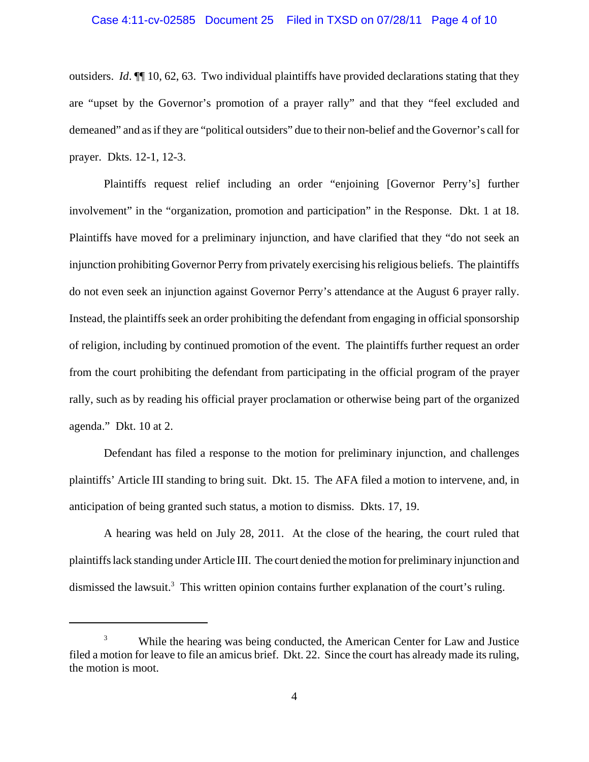## Case 4:11-cv-02585 Document 25 Filed in TXSD on 07/28/11 Page 4 of 10

outsiders. *Id*. ¶¶ 10, 62, 63. Two individual plaintiffs have provided declarations stating that they are "upset by the Governor's promotion of a prayer rally" and that they "feel excluded and demeaned" and as if they are "political outsiders" due to their non-belief and the Governor's call for prayer. Dkts. 12-1, 12-3.

Plaintiffs request relief including an order "enjoining [Governor Perry's] further involvement" in the "organization, promotion and participation" in the Response. Dkt. 1 at 18. Plaintiffs have moved for a preliminary injunction, and have clarified that they "do not seek an injunction prohibiting Governor Perry from privately exercising his religious beliefs. The plaintiffs do not even seek an injunction against Governor Perry's attendance at the August 6 prayer rally. Instead, the plaintiffs seek an order prohibiting the defendant from engaging in official sponsorship of religion, including by continued promotion of the event. The plaintiffs further request an order from the court prohibiting the defendant from participating in the official program of the prayer rally, such as by reading his official prayer proclamation or otherwise being part of the organized agenda." Dkt. 10 at 2.

Defendant has filed a response to the motion for preliminary injunction, and challenges plaintiffs' Article III standing to bring suit. Dkt. 15. The AFA filed a motion to intervene, and, in anticipation of being granted such status, a motion to dismiss. Dkts. 17, 19.

A hearing was held on July 28, 2011. At the close of the hearing, the court ruled that plaintiffs lack standing under Article III. The court denied the motion for preliminary injunction and dismissed the lawsuit.<sup>3</sup> This written opinion contains further explanation of the court's ruling.

<sup>&</sup>lt;sup>3</sup> While the hearing was being conducted, the American Center for Law and Justice filed a motion for leave to file an amicus brief. Dkt. 22. Since the court has already made its ruling, the motion is moot.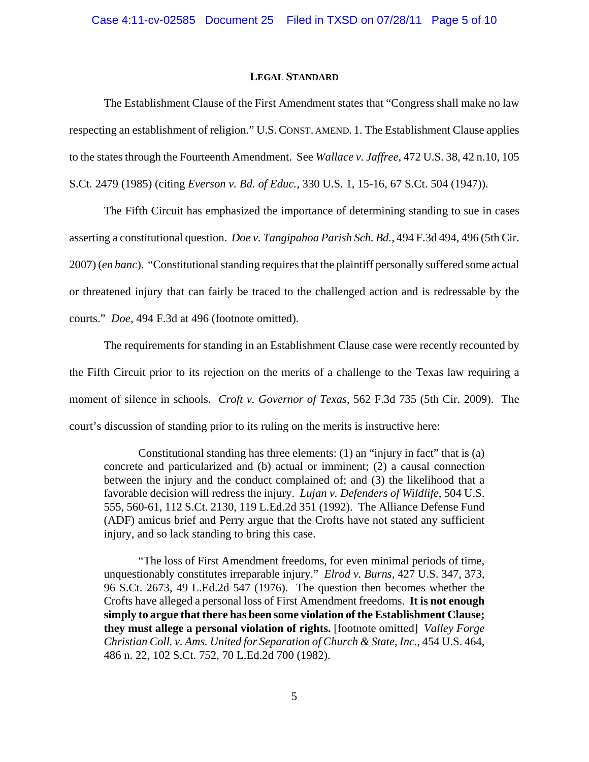#### **LEGAL STANDARD**

The Establishment Clause of the First Amendment states that "Congress shall make no law respecting an establishment of religion." U.S.CONST. AMEND. 1. The Establishment Clause applies to the states through the Fourteenth Amendment. See *Wallace v. Jaffree*, 472 U.S. 38, 42 n.10, 105 S.Ct. 2479 (1985) (citing *Everson v. Bd. of Educ.*, 330 U.S. 1, 15-16, 67 S.Ct. 504 (1947)).

The Fifth Circuit has emphasized the importance of determining standing to sue in cases asserting a constitutional question. *Doe v. Tangipahoa Parish Sch. Bd.*, 494 F.3d 494, 496 (5th Cir. 2007) (*en banc*). "Constitutional standing requires that the plaintiff personally suffered some actual or threatened injury that can fairly be traced to the challenged action and is redressable by the courts." *Doe*, 494 F.3d at 496 (footnote omitted).

The requirements for standing in an Establishment Clause case were recently recounted by the Fifth Circuit prior to its rejection on the merits of a challenge to the Texas law requiring a moment of silence in schools. *Croft v. Governor of Texas*, 562 F.3d 735 (5th Cir. 2009). The court's discussion of standing prior to its ruling on the merits is instructive here:

Constitutional standing has three elements: (1) an "injury in fact" that is (a) concrete and particularized and (b) actual or imminent; (2) a causal connection between the injury and the conduct complained of; and (3) the likelihood that a favorable decision will redress the injury. *Lujan v. Defenders of Wildlife*, 504 U.S. 555, 560-61, 112 S.Ct. 2130, 119 L.Ed.2d 351 (1992). The Alliance Defense Fund (ADF) amicus brief and Perry argue that the Crofts have not stated any sufficient injury, and so lack standing to bring this case.

"The loss of First Amendment freedoms, for even minimal periods of time, unquestionably constitutes irreparable injury." *Elrod v. Burns*, 427 U.S. 347, 373, 96 S.Ct. 2673, 49 L.Ed.2d 547 (1976). The question then becomes whether the Crofts have alleged a personal loss of First Amendment freedoms. **It is not enough simply to argue that there has been some violation of the Establishment Clause; they must allege a personal violation of rights.** [footnote omitted] *Valley Forge Christian Coll. v. Ams. United for Separation of Church & State, Inc.*, 454 U.S. 464, 486 n. 22, 102 S.Ct. 752, 70 L.Ed.2d 700 (1982).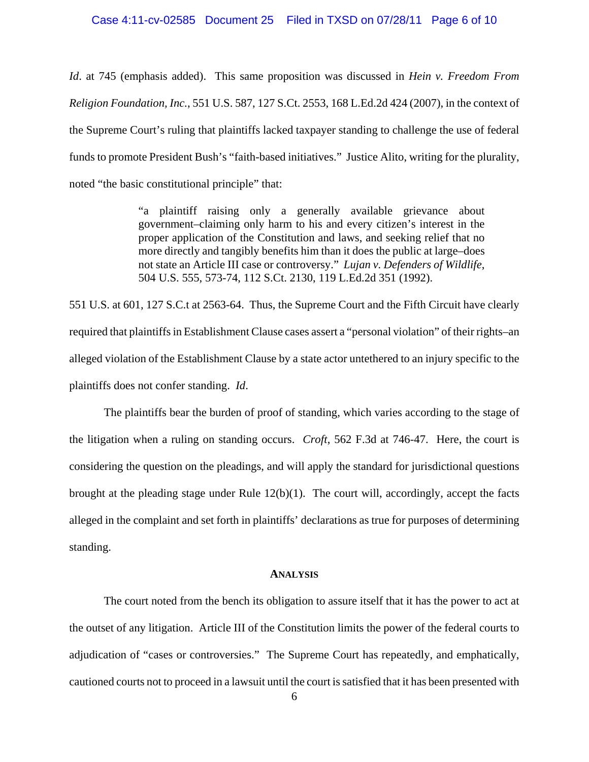## Case 4:11-cv-02585 Document 25 Filed in TXSD on 07/28/11 Page 6 of 10

*Id*. at 745 (emphasis added). This same proposition was discussed in *Hein v. Freedom From Religion Foundation, Inc.*, 551 U.S. 587, 127 S.Ct. 2553, 168 L.Ed.2d 424 (2007), in the context of the Supreme Court's ruling that plaintiffs lacked taxpayer standing to challenge the use of federal funds to promote President Bush's "faith-based initiatives." Justice Alito, writing for the plurality, noted "the basic constitutional principle" that:

> "a plaintiff raising only a generally available grievance about government–claiming only harm to his and every citizen's interest in the proper application of the Constitution and laws, and seeking relief that no more directly and tangibly benefits him than it does the public at large–does not state an Article III case or controversy." *Lujan v. Defenders of Wildlife*, 504 U.S. 555, 573-74, 112 S.Ct. 2130, 119 L.Ed.2d 351 (1992).

551 U.S. at 601, 127 S.C.t at 2563-64. Thus, the Supreme Court and the Fifth Circuit have clearly required that plaintiffs in Establishment Clause cases assert a "personal violation" of their rights–an alleged violation of the Establishment Clause by a state actor untethered to an injury specific to the plaintiffs does not confer standing. *Id*.

The plaintiffs bear the burden of proof of standing, which varies according to the stage of the litigation when a ruling on standing occurs. *Croft*, 562 F.3d at 746-47. Here, the court is considering the question on the pleadings, and will apply the standard for jurisdictional questions brought at the pleading stage under Rule 12(b)(1). The court will, accordingly, accept the facts alleged in the complaint and set forth in plaintiffs' declarations as true for purposes of determining standing.

#### **ANALYSIS**

The court noted from the bench its obligation to assure itself that it has the power to act at the outset of any litigation. Article III of the Constitution limits the power of the federal courts to adjudication of "cases or controversies." The Supreme Court has repeatedly, and emphatically, cautioned courts not to proceed in a lawsuit until the court is satisfied that it has been presented with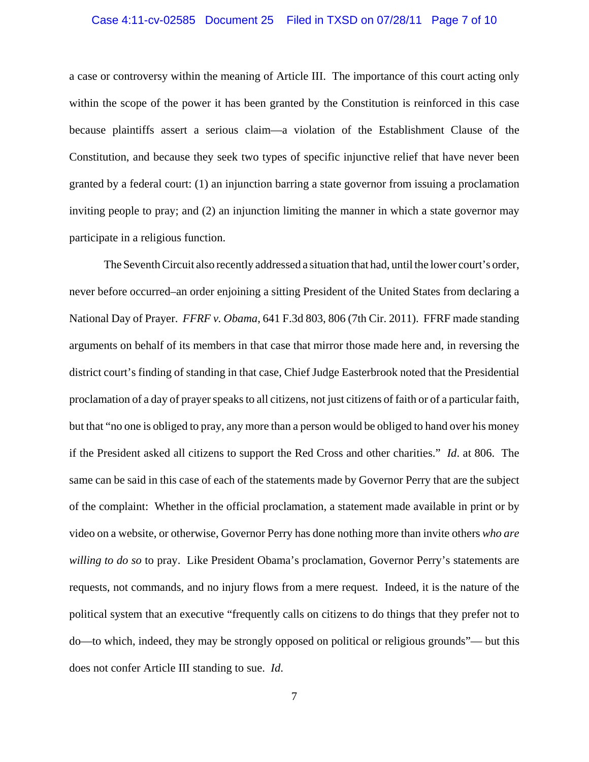## Case 4:11-cv-02585 Document 25 Filed in TXSD on 07/28/11 Page 7 of 10

a case or controversy within the meaning of Article III. The importance of this court acting only within the scope of the power it has been granted by the Constitution is reinforced in this case because plaintiffs assert a serious claim—a violation of the Establishment Clause of the Constitution, and because they seek two types of specific injunctive relief that have never been granted by a federal court: (1) an injunction barring a state governor from issuing a proclamation inviting people to pray; and (2) an injunction limiting the manner in which a state governor may participate in a religious function.

The Seventh Circuit also recently addressed a situation that had, until the lower court's order, never before occurred–an order enjoining a sitting President of the United States from declaring a National Day of Prayer. *FFRF v. Obama*, 641 F.3d 803, 806 (7th Cir. 2011). FFRF made standing arguments on behalf of its members in that case that mirror those made here and, in reversing the district court's finding of standing in that case, Chief Judge Easterbrook noted that the Presidential proclamation of a day of prayer speaks to all citizens, not just citizens of faith or of a particular faith, but that "no one is obliged to pray, any more than a person would be obliged to hand over his money if the President asked all citizens to support the Red Cross and other charities." *Id*. at 806. The same can be said in this case of each of the statements made by Governor Perry that are the subject of the complaint: Whether in the official proclamation, a statement made available in print or by video on a website, or otherwise, Governor Perry has done nothing more than invite others *who are willing to do so* to pray. Like President Obama's proclamation, Governor Perry's statements are requests, not commands, and no injury flows from a mere request. Indeed, it is the nature of the political system that an executive "frequently calls on citizens to do things that they prefer not to do—to which, indeed, they may be strongly opposed on political or religious grounds"— but this does not confer Article III standing to sue. *Id*.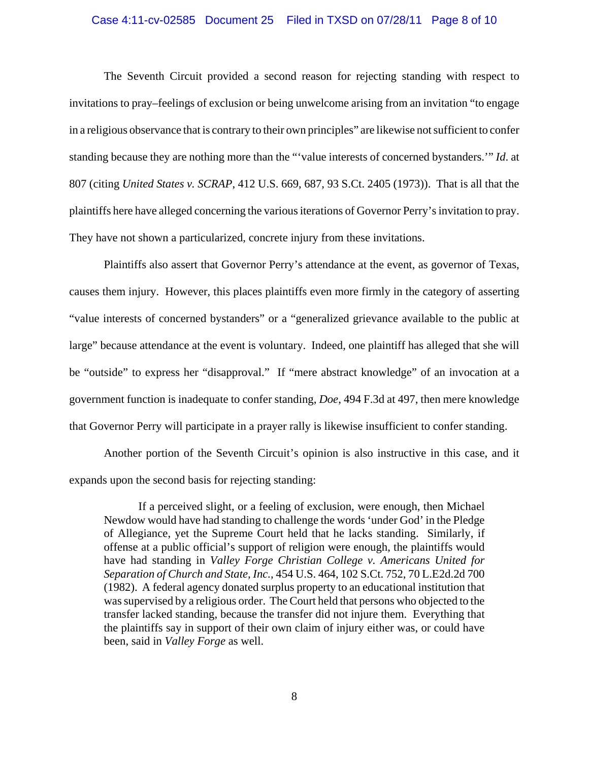## Case 4:11-cv-02585 Document 25 Filed in TXSD on 07/28/11 Page 8 of 10

The Seventh Circuit provided a second reason for rejecting standing with respect to invitations to pray–feelings of exclusion or being unwelcome arising from an invitation "to engage in a religious observance that is contrary to their own principles" are likewise not sufficient to confer standing because they are nothing more than the "'value interests of concerned bystanders.'" *Id*. at 807 (citing *United States v. SCRAP*, 412 U.S. 669, 687, 93 S.Ct. 2405 (1973)). That is all that the plaintiffs here have alleged concerning the various iterations of Governor Perry's invitation to pray. They have not shown a particularized, concrete injury from these invitations.

Plaintiffs also assert that Governor Perry's attendance at the event, as governor of Texas, causes them injury. However, this places plaintiffs even more firmly in the category of asserting "value interests of concerned bystanders" or a "generalized grievance available to the public at large" because attendance at the event is voluntary. Indeed, one plaintiff has alleged that she will be "outside" to express her "disapproval." If "mere abstract knowledge" of an invocation at a government function is inadequate to confer standing, *Doe*, 494 F.3d at 497, then mere knowledge that Governor Perry will participate in a prayer rally is likewise insufficient to confer standing.

Another portion of the Seventh Circuit's opinion is also instructive in this case, and it expands upon the second basis for rejecting standing:

If a perceived slight, or a feeling of exclusion, were enough, then Michael Newdow would have had standing to challenge the words 'under God' in the Pledge of Allegiance, yet the Supreme Court held that he lacks standing. Similarly, if offense at a public official's support of religion were enough, the plaintiffs would have had standing in *Valley Forge Christian College v. Americans United for Separation of Church and State, Inc.*, 454 U.S. 464, 102 S.Ct. 752, 70 L.E2d.2d 700 (1982). A federal agency donated surplus property to an educational institution that was supervised by a religious order. The Court held that persons who objected to the transfer lacked standing, because the transfer did not injure them. Everything that the plaintiffs say in support of their own claim of injury either was, or could have been, said in *Valley Forge* as well.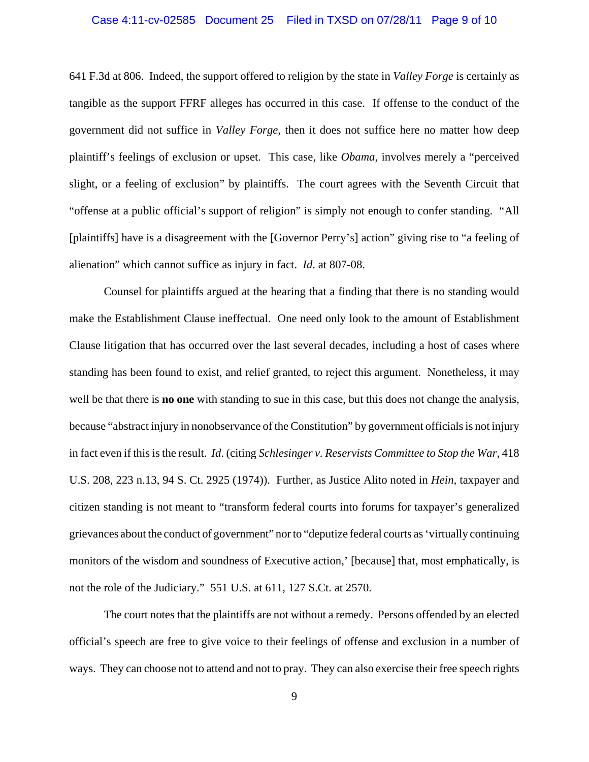## Case 4:11-cv-02585 Document 25 Filed in TXSD on 07/28/11 Page 9 of 10

641 F.3d at 806. Indeed, the support offered to religion by the state in *Valley Forge* is certainly as tangible as the support FFRF alleges has occurred in this case. If offense to the conduct of the government did not suffice in *Valley Forge*, then it does not suffice here no matter how deep plaintiff's feelings of exclusion or upset. This case, like *Obama*, involves merely a "perceived slight, or a feeling of exclusion" by plaintiffs. The court agrees with the Seventh Circuit that "offense at a public official's support of religion" is simply not enough to confer standing. "All [plaintiffs] have is a disagreement with the [Governor Perry's] action" giving rise to "a feeling of alienation" which cannot suffice as injury in fact. *Id*. at 807-08.

Counsel for plaintiffs argued at the hearing that a finding that there is no standing would make the Establishment Clause ineffectual. One need only look to the amount of Establishment Clause litigation that has occurred over the last several decades, including a host of cases where standing has been found to exist, and relief granted, to reject this argument. Nonetheless, it may well be that there is **no one** with standing to sue in this case, but this does not change the analysis, because "abstract injury in nonobservance of the Constitution" by government officials is not injury in fact even if this is the result. *Id*. (citing *Schlesinger v. Reservists Committee to Stop the War*, 418 U.S. 208, 223 n.13, 94 S. Ct. 2925 (1974)). Further, as Justice Alito noted in *Hein*, taxpayer and citizen standing is not meant to "transform federal courts into forums for taxpayer's generalized grievances about the conduct of government" nor to "deputize federal courts as 'virtually continuing monitors of the wisdom and soundness of Executive action,' [because] that, most emphatically, is not the role of the Judiciary." 551 U.S. at 611, 127 S.Ct. at 2570.

The court notes that the plaintiffs are not without a remedy. Persons offended by an elected official's speech are free to give voice to their feelings of offense and exclusion in a number of ways. They can choose not to attend and not to pray. They can also exercise their free speech rights